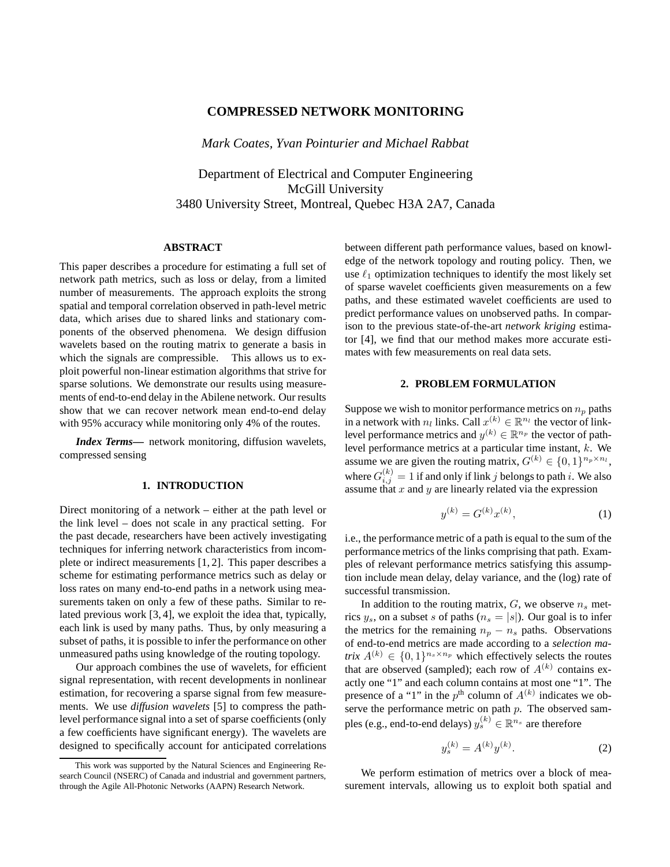## **COMPRESSED NETWORK MONITORING**

*Mark Coates, Yvan Pointurier and Michael Rabbat*

Department of Electrical and Computer Engineering McGill University 3480 University Street, Montreal, Quebec H3A 2A7, Canada

## **ABSTRACT**

This paper describes a procedure for estimating a full set of network path metrics, such as loss or delay, from a limited number of measurements. The approach exploits the strong spatial and temporal correlation observed in path-level metric data, which arises due to shared links and stationary components of the observed phenomena. We design diffusion wavelets based on the routing matrix to generate a basis in which the signals are compressible. This allows us to exploit powerful non-linear estimation algorithms that strive for sparse solutions. We demonstrate our results using measurements of end-to-end delay in the Abilene network. Our results show that we can recover network mean end-to-end delay with 95% accuracy while monitoring only 4% of the routes.

*Index Terms***—** network monitoring, diffusion wavelets, compressed sensing

#### **1. INTRODUCTION**

Direct monitoring of a network – either at the path level or the link level – does not scale in any practical setting. For the past decade, researchers have been actively investigating techniques for inferring network characteristics from incomplete or indirect measurements [1, 2]. This paper describes a scheme for estimating performance metrics such as delay or loss rates on many end-to-end paths in a network using measurements taken on only a few of these paths. Similar to related previous work [3, 4], we exploit the idea that, typically, each link is used by many paths. Thus, by only measuring a subset of paths, it is possible to infer the performance on other unmeasured paths using knowledge of the routing topology.

Our approach combines the use of wavelets, for efficient signal representation, with recent developments in nonlinear estimation, for recovering a sparse signal from few measurements. We use *diffusion wavelets* [5] to compress the pathlevel performance signal into a set of sparse coefficients (only a few coefficients have significant energy). The wavelets are designed to specifically account for anticipated correlations between different path performance values, based on knowledge of the network topology and routing policy. Then, we use  $\ell_1$  optimization techniques to identify the most likely set of sparse wavelet coefficients given measurements on a few paths, and these estimated wavelet coefficients are used to predict performance values on unobserved paths. In comparison to the previous state-of-the-art *network kriging* estimator [4], we find that our method makes more accurate estimates with few measurements on real data sets.

#### **2. PROBLEM FORMULATION**

Suppose we wish to monitor performance metrics on  $n_p$  paths in a network with  $n_l$  links. Call  $x^{(k)} \in \mathbb{R}^{n_l}$  the vector of linklevel performance metrics and  $y^{(k)} \in \mathbb{R}^{n_p}$  the vector of pathlevel performance metrics at a particular time instant, k. We assume we are given the routing matrix,  $G^{(k)} \in \{0,1\}^{n_p \times n_l}$ , where  $G_{i,j}^{(k)} = 1$  if and only if link  $j$  belongs to path  $i$ . We also assume that x and y are linearly related via the expression

$$
y^{(k)} = G^{(k)}x^{(k)},\tag{1}
$$

i.e., the performance metric of a path is equal to the sum of the performance metrics of the links comprising that path. Examples of relevant performance metrics satisfying this assumption include mean delay, delay variance, and the (log) rate of successful transmission.

In addition to the routing matrix,  $G$ , we observe  $n_s$  metrics  $y_s$ , on a subset s of paths  $(n_s = |s|)$ . Our goal is to infer the metrics for the remaining  $n_p - n_s$  paths. Observations of end-to-end metrics are made according to a *selection matrix*  $A^{(k)} \in \{0,1\}^{n_s \times n_p}$  which effectively selects the routes that are observed (sampled); each row of  $A^{(k)}$  contains exactly one "1" and each column contains at most one "1". The presence of a "1" in the  $p<sup>th</sup>$  column of  $A<sup>(k)</sup>$  indicates we observe the performance metric on path  $p$ . The observed samples (e.g., end-to-end delays)  $y_{s}^{(k)} \in \mathbb{R}^{n_s}$  are therefore

$$
y_s^{(k)} = A^{(k)} y^{(k)}.
$$
 (2)

We perform estimation of metrics over a block of measurement intervals, allowing us to exploit both spatial and

This work was supported by the Natural Sciences and Engineering Research Council (NSERC) of Canada and industrial and government partners, through the Agile All-Photonic Networks (AAPN) Research Network.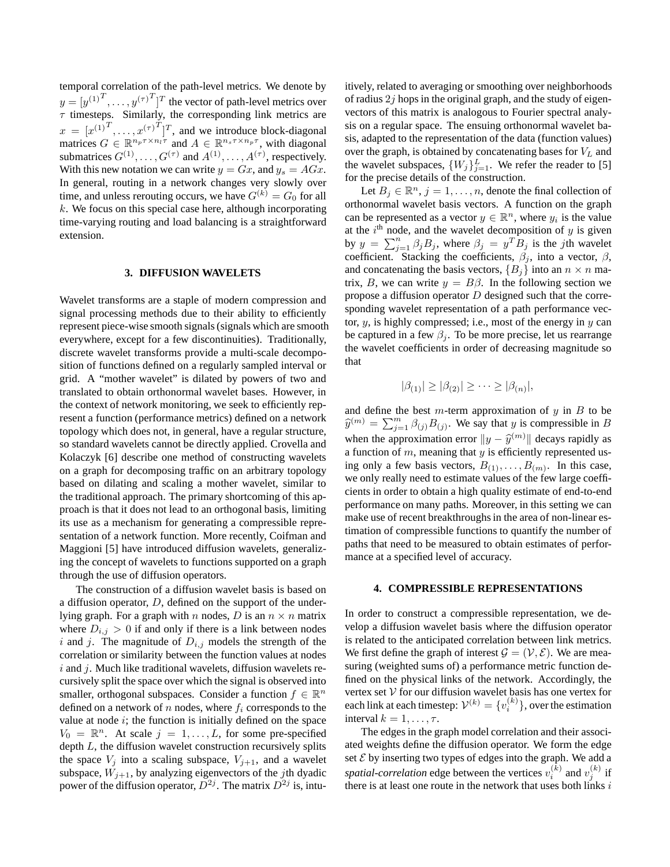temporal correlation of the path-level metrics. We denote by  $y = [y^{(1)}^T, \dots, y^{(\tau)}^T]^T$  the vector of path-level metrics over  $\tau$  timesteps. Similarly, the corresponding link metrics are  $x = [x^{(1)}^T, \dots, x^{(\tau)}^T]^T$ , and we introduce block-diagonal matrices  $G \in \mathbb{R}^{n_p \tau \times n_l \tau}$  and  $A \in \mathbb{R}^{n_s \tau \times n_p \tau}$ , with diagonal submatrices  $G^{(1)}, \ldots, G^{(\tau)}$  and  $A^{(1)}, \ldots, A^{(\tau)}$ , respectively. With this new notation we can write  $y = Gx$ , and  $y_s = AGx$ . In general, routing in a network changes very slowly over time, and unless rerouting occurs, we have  $G^{(k)} = G_0$  for all  $k$ . We focus on this special case here, although incorporating time-varying routing and load balancing is a straightforward extension.

#### **3. DIFFUSION WAVELETS**

Wavelet transforms are a staple of modern compression and signal processing methods due to their ability to efficiently represent piece-wise smooth signals (signals which are smooth everywhere, except for a few discontinuities). Traditionally, discrete wavelet transforms provide a multi-scale decomposition of functions defined on a regularly sampled interval or grid. A "mother wavelet" is dilated by powers of two and translated to obtain orthonormal wavelet bases. However, in the context of network monitoring, we seek to efficiently represent a function (performance metrics) defined on a network topology which does not, in general, have a regular structure, so standard wavelets cannot be directly applied. Crovella and Kolaczyk [6] describe one method of constructing wavelets on a graph for decomposing traffic on an arbitrary topology based on dilating and scaling a mother wavelet, similar to the traditional approach. The primary shortcoming of this approach is that it does not lead to an orthogonal basis, limiting its use as a mechanism for generating a compressible representation of a network function. More recently, Coifman and Maggioni [5] have introduced diffusion wavelets, generalizing the concept of wavelets to functions supported on a graph through the use of diffusion operators.

The construction of a diffusion wavelet basis is based on a diffusion operator, D, defined on the support of the underlying graph. For a graph with n nodes, D is an  $n \times n$  matrix where  $D_{i,j} > 0$  if and only if there is a link between nodes i and j. The magnitude of  $D_{i,j}$  models the strength of the correlation or similarity between the function values at nodes  $i$  and  $j$ . Much like traditional wavelets, diffusion wavelets recursively split the space over which the signal is observed into smaller, orthogonal subspaces. Consider a function  $f \in \mathbb{R}^n$ defined on a network of n nodes, where  $f_i$  corresponds to the value at node  $i$ ; the function is initially defined on the space  $V_0 = \mathbb{R}^n$ . At scale  $j = 1, \ldots, L$ , for some pre-specified depth  $L$ , the diffusion wavelet construction recursively splits the space  $V_j$  into a scaling subspace,  $V_{j+1}$ , and a wavelet subspace,  $W_{i+1}$ , by analyzing eigenvectors of the *j*th dyadic power of the diffusion operator,  $D^{2j}$ . The matrix  $D^{2j}$  is, intuitively, related to averaging or smoothing over neighborhoods of radius  $2j$  hops in the original graph, and the study of eigenvectors of this matrix is analogous to Fourier spectral analysis on a regular space. The ensuing orthonormal wavelet basis, adapted to the representation of the data (function values) over the graph, is obtained by concatenating bases for  $V<sub>L</sub>$  and the wavelet subspaces,  $\{W_j\}_{j=1}^L$ . We refer the reader to [5] for the precise details of the construction.

Let  $B_j \in \mathbb{R}^n$ ,  $j = 1, \ldots, n$ , denote the final collection of orthonormal wavelet basis vectors. A function on the graph can be represented as a vector  $y \in \mathbb{R}^n$ , where  $y_i$  is the value at the  $i<sup>th</sup>$  node, and the wavelet decomposition of  $y$  is given by  $y = \sum_{j=1}^{n} \beta_j B_j$ , where  $\beta_j = y^T B_j$  is the jth wavelet coefficient. Stacking the coefficients,  $\beta_j$ , into a vector,  $\beta$ , and concatenating the basis vectors,  ${B_i}$  into an  $n \times n$  matrix, B, we can write  $y = B\beta$ . In the following section we propose a diffusion operator  $D$  designed such that the corresponding wavelet representation of a path performance vector,  $y$ , is highly compressed; i.e., most of the energy in  $y$  can be captured in a few  $\beta_i$ . To be more precise, let us rearrange the wavelet coefficients in order of decreasing magnitude so that

$$
|\beta_{(1)}| \geq |\beta_{(2)}| \geq \cdots \geq |\beta_{(n)}|,
$$

and define the best  $m$ -term approximation of  $y$  in  $B$  to be  $\widehat{y}^{(m)} = \sum_{j=1}^{m} \beta_{(j)} B_{(j)}$ . We say that y is compressible in B when the approximation error  $||y - \hat{y}^{(m)}||$  decays rapidly as a function of  $m$ , meaning that  $y$  is efficiently represented using only a few basis vectors,  $B_{(1)}, \ldots, B_{(m)}$ . In this case, we only really need to estimate values of the few large coefficients in order to obtain a high quality estimate of end-to-end performance on many paths. Moreover, in this setting we can make use of recent breakthroughs in the area of non-linear estimation of compressible functions to quantify the number of paths that need to be measured to obtain estimates of performance at a specified level of accuracy.

#### **4. COMPRESSIBLE REPRESENTATIONS**

In order to construct a compressible representation, we develop a diffusion wavelet basis where the diffusion operator is related to the anticipated correlation between link metrics. We first define the graph of interest  $\mathcal{G} = (\mathcal{V}, \mathcal{E})$ . We are measuring (weighted sums of) a performance metric function defined on the physical links of the network. Accordingly, the vertex set  $V$  for our diffusion wavelet basis has one vertex for each link at each timestep:  $\mathcal{V}^{(k)} = \{v_i^{(k)}\},$  over the estimation interval  $k = 1, \ldots, \tau$ .

The edges in the graph model correlation and their associated weights define the diffusion operator. We form the edge set  $E$  by inserting two types of edges into the graph. We add a spatial-correlation edge between the vertices  $v_i^{(k)}$  and  $v_j^{(k)}$  if there is at least one route in the network that uses both links  $i$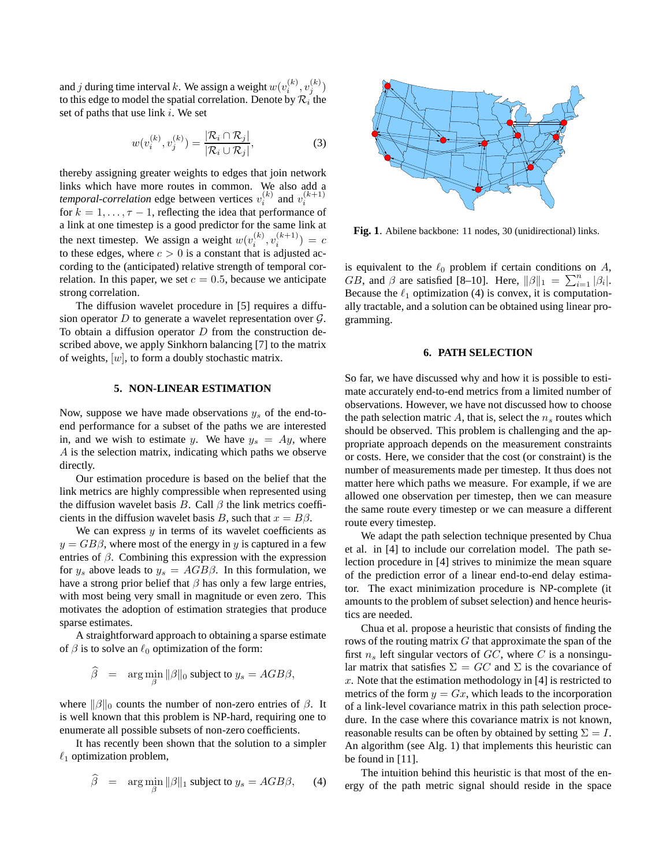and  $j$  during time interval  $k.$  We assign a weight  $w(v_i^{(k)}, v_j^{(k)})$ to this edge to model the spatial correlation. Denote by  $\mathcal{R}_i$  the set of paths that use link  $i$ . We set

$$
w(v_i^{(k)}, v_j^{(k)}) = \frac{|\mathcal{R}_i \cap \mathcal{R}_j|}{|\mathcal{R}_i \cup \mathcal{R}_j|},
$$
(3)

thereby assigning greater weights to edges that join network links which have more routes in common. We also add a *temporal-correlation* edge between vertices  $v_i^{(k)}$  and  $v_i^{(k+1)}$ for  $k = 1, \ldots, \tau - 1$ , reflecting the idea that performance of a link at one timestep is a good predictor for the same link at the next timestep. We assign a weight  $w(v_i^{(k)}, v_i^{(k+1)}) = c$ to these edges, where  $c > 0$  is a constant that is adjusted according to the (anticipated) relative strength of temporal correlation. In this paper, we set  $c = 0.5$ , because we anticipate strong correlation.

The diffusion wavelet procedure in [5] requires a diffusion operator  $D$  to generate a wavelet representation over  $\mathcal{G}$ . To obtain a diffusion operator  $D$  from the construction described above, we apply Sinkhorn balancing [7] to the matrix of weights,  $[w]$ , to form a doubly stochastic matrix.

#### **5. NON-LINEAR ESTIMATION**

Now, suppose we have made observations  $y_s$  of the end-toend performance for a subset of the paths we are interested in, and we wish to estimate y. We have  $y_s = Ay$ , where A is the selection matrix, indicating which paths we observe directly.

Our estimation procedure is based on the belief that the link metrics are highly compressible when represented using the diffusion wavelet basis B. Call  $\beta$  the link metrics coefficients in the diffusion wavelet basis B, such that  $x = B\beta$ .

We can express  $y$  in terms of its wavelet coefficients as  $y = GB\beta$ , where most of the energy in y is captured in a few entries of  $\beta$ . Combining this expression with the expression for  $y_s$  above leads to  $y_s = AGB\beta$ . In this formulation, we have a strong prior belief that  $\beta$  has only a few large entries, with most being very small in magnitude or even zero. This motivates the adoption of estimation strategies that produce sparse estimates.

A straightforward approach to obtaining a sparse estimate of  $\beta$  is to solve an  $\ell_0$  optimization of the form:

$$
\widehat{\beta} = \arg \min_{\beta} \|\beta\|_0 \text{ subject to } y_s = AGB\beta,
$$

where  $\|\beta\|_0$  counts the number of non-zero entries of  $\beta$ . It is well known that this problem is NP-hard, requiring one to enumerate all possible subsets of non-zero coefficients.

It has recently been shown that the solution to a simpler  $\ell_1$  optimization problem,

$$
\widehat{\beta} = \arg \min_{\beta} ||\beta||_1 \text{ subject to } y_s = AGB\beta, \qquad (4)
$$



**Fig. 1**. Abilene backbone: 11 nodes, 30 (unidirectional) links.

is equivalent to the  $\ell_0$  problem if certain conditions on  $A$ , GB, and  $\beta$  are satisfied [8–10]. Here,  $\|\beta\|_1 = \sum_{i=1}^n |\beta_i|$ . Because the  $\ell_1$  optimization (4) is convex, it is computationally tractable, and a solution can be obtained using linear programming.

#### **6. PATH SELECTION**

So far, we have discussed why and how it is possible to estimate accurately end-to-end metrics from a limited number of observations. However, we have not discussed how to choose the path selection matric A, that is, select the  $n_s$  routes which should be observed. This problem is challenging and the appropriate approach depends on the measurement constraints or costs. Here, we consider that the cost (or constraint) is the number of measurements made per timestep. It thus does not matter here which paths we measure. For example, if we are allowed one observation per timestep, then we can measure the same route every timestep or we can measure a different route every timestep.

We adapt the path selection technique presented by Chua et al. in [4] to include our correlation model. The path selection procedure in [4] strives to minimize the mean square of the prediction error of a linear end-to-end delay estimator. The exact minimization procedure is NP-complete (it amounts to the problem of subset selection) and hence heuristics are needed.

Chua et al. propose a heuristic that consists of finding the rows of the routing matrix  $G$  that approximate the span of the first  $n_s$  left singular vectors of  $GC$ , where C is a nonsingular matrix that satisfies  $\Sigma = GC$  and  $\Sigma$  is the covariance of x. Note that the estimation methodology in  $[4]$  is restricted to metrics of the form  $y = Gx$ , which leads to the incorporation of a link-level covariance matrix in this path selection procedure. In the case where this covariance matrix is not known, reasonable results can be often by obtained by setting  $\Sigma = I$ . An algorithm (see Alg. 1) that implements this heuristic can be found in [11].

The intuition behind this heuristic is that most of the energy of the path metric signal should reside in the space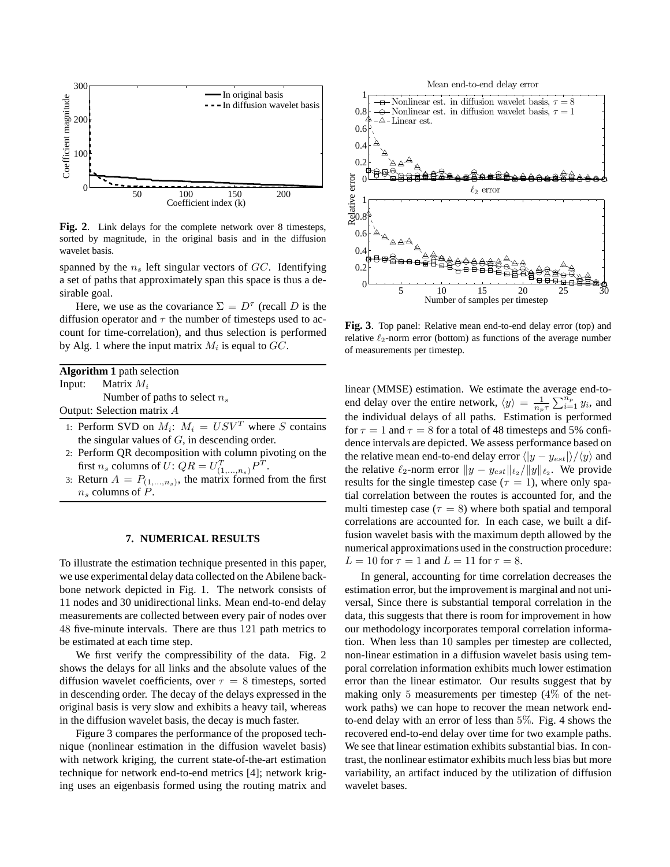

**Fig. 2**. Link delays for the complete network over 8 timesteps, sorted by magnitude, in the original basis and in the diffusion wavelet basis.

spanned by the  $n<sub>s</sub>$  left singular vectors of  $GC$ . Identifying a set of paths that approximately span this space is thus a desirable goal.

Here, we use as the covariance  $\Sigma = D^{\tau}$  (recall D is the diffusion operator and  $\tau$  the number of timesteps used to account for time-correlation), and thus selection is performed by Alg. 1 where the input matrix  $M_i$  is equal to  $GC$ .

| <b>Algorithm 1</b> path selection |                                 |
|-----------------------------------|---------------------------------|
|                                   | Input: Matrix $M_i$             |
|                                   | Number of paths to select $n_s$ |
|                                   | Output: Selection matrix A      |

- 1: Perform SVD on  $M_i$ :  $M_i = USV^T$  where S contains the singular values of  $G$ , in descending order.
- 2: Perform QR decomposition with column pivoting on the first  $n_s$  columns of  $U$ :  $QR = U_{(1,...,n_s)}^T P^T$ .
- 3: Return  $A = P_{(1,...,n_s)}$ , the matrix formed from the first  $n_s$  columns of P.

### **7. NUMERICAL RESULTS**

To illustrate the estimation technique presented in this paper, we use experimental delay data collected on the Abilene backbone network depicted in Fig. 1. The network consists of 11 nodes and 30 unidirectional links. Mean end-to-end delay measurements are collected between every pair of nodes over 48 five-minute intervals. There are thus 121 path metrics to be estimated at each time step.

We first verify the compressibility of the data. Fig. 2 shows the delays for all links and the absolute values of the diffusion wavelet coefficients, over  $\tau = 8$  timesteps, sorted in descending order. The decay of the delays expressed in the original basis is very slow and exhibits a heavy tail, whereas in the diffusion wavelet basis, the decay is much faster.

Figure 3 compares the performance of the proposed technique (nonlinear estimation in the diffusion wavelet basis) with network kriging, the current state-of-the-art estimation technique for network end-to-end metrics [4]; network kriging uses an eigenbasis formed using the routing matrix and



**Fig. 3**. Top panel: Relative mean end-to-end delay error (top) and relative  $\ell_2$ -norm error (bottom) as functions of the average number of measurements per timestep.

linear (MMSE) estimation. We estimate the average end-toend delay over the entire network,  $\langle y \rangle = \frac{1}{n_p \tau} \sum_{i=1}^{n_p} y_i$ , and the individual delays of all paths. Estimation is performed for  $\tau = 1$  and  $\tau = 8$  for a total of 48 timesteps and 5% confidence intervals are depicted. We assess performance based on the relative mean end-to-end delay error  $\langle |y - y_{est}| \rangle / \langle y \rangle$  and the relative  $\ell_2$ -norm error  $||y - y_{est}||_{\ell_2}/||y||_{\ell_2}$ . We provide results for the single timestep case ( $\tau = 1$ ), where only spatial correlation between the routes is accounted for, and the multi timestep case ( $\tau = 8$ ) where both spatial and temporal correlations are accounted for. In each case, we built a diffusion wavelet basis with the maximum depth allowed by the numerical approximations used in the construction procedure:  $L = 10$  for  $\tau = 1$  and  $L = 11$  for  $\tau = 8$ .

In general, accounting for time correlation decreases the estimation error, but the improvement is marginal and not universal, Since there is substantial temporal correlation in the data, this suggests that there is room for improvement in how our methodology incorporates temporal correlation information. When less than 10 samples per timestep are collected, non-linear estimation in a diffusion wavelet basis using temporal correlation information exhibits much lower estimation error than the linear estimator. Our results suggest that by making only 5 measurements per timestep (4% of the network paths) we can hope to recover the mean network endto-end delay with an error of less than 5%. Fig. 4 shows the recovered end-to-end delay over time for two example paths. We see that linear estimation exhibits substantial bias. In contrast, the nonlinear estimator exhibits much less bias but more variability, an artifact induced by the utilization of diffusion wavelet bases.